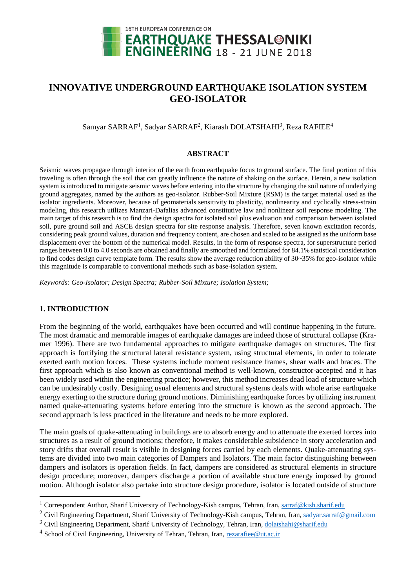

# **INNOVATIVE UNDERGROUND EARTHQUAKE ISOLATION SYSTEM GEO-ISOLATOR**

Samyar SARRAF<sup>1</sup>, Sadyar SARRAF<sup>2</sup>, Kiarash DOLATSHAHI<sup>3</sup>, Reza RAFIEE<sup>4</sup>

#### **ABSTRACT**

Seismic waves propagate through interior of the earth from earthquake focus to ground surface. The final portion of this traveling is often through the soil that can greatly influence the nature of shaking on the surface. Herein, a new isolation system is introduced to mitigate seismic waves before entering into the structure by changing the soil nature of underlying ground aggregates, named by the authors as geo-isolator. Rubber-Soil Mixture (RSM) is the target material used as the isolator ingredients. Moreover, because of geomaterials sensitivity to plasticity, nonlinearity and cyclically stress-strain modeling, this research utilizes Manzari-Dafalias advanced constitutive law and nonlinear soil response modeling. The main target of this research is to find the design spectra for isolated soil plus evaluation and comparison between isolated soil, pure ground soil and ASCE design spectra for site response analysis. Therefore, seven known excitation records, considering peak ground values, duration and frequency content, are chosen and scaled to be assigned as the uniform base displacement over the bottom of the numerical model. Results, in the form of response spectra, for superstructure period ranges between 0.0 to 4.0 seconds are obtained and finally are smoothed and formulated for 84.1% statistical consideration to find codes design curve template form. The results show the average reduction ability of 30~35% for geo-isolator while this magnitude is comparable to conventional methods such as base-isolation system.

*Keywords: Geo-Isolator; Design Spectra; Rubber-Soil Mixture; Isolation System;*

## **1. INTRODUCTION**

1

From the beginning of the world, earthquakes have been occurred and will continue happening in the future. The most dramatic and memorable images of earthquake damages are indeed those of structural collapse (Kramer 1996). There are two fundamental approaches to mitigate earthquake damages on structures. The first approach is fortifying the structural lateral resistance system, using structural elements, in order to tolerate exerted earth motion forces. These systems include moment resistance frames, shear walls and braces. The first approach which is also known as conventional method is well-known, constructor-accepted and it has been widely used within the engineering practice; however, this method increases dead load of structure which can be undesirably costly. Designing usual elements and structural systems deals with whole arise earthquake energy exerting to the structure during ground motions. Diminishing earthquake forces by utilizing instrument named quake-attenuating systems before entering into the structure is known as the second approach. The second approach is less practiced in the literature and needs to be more explored.

The main goals of quake-attenuating in buildings are to absorb energy and to attenuate the exerted forces into structures as a result of ground motions; therefore, it makes considerable subsidence in story acceleration and story drifts that overall result is visible in designing forces carried by each elements. Quake-attenuating systems are divided into two main categories of Dampers and Isolators. The main factor distinguishing between dampers and isolators is operation fields. In fact, dampers are considered as structural elements in structure design procedure; moreover, dampers discharge a portion of available structure energy imposed by ground motion. Although isolator also partake into structure design procedure, isolator is located outside of structure

<sup>&</sup>lt;sup>1</sup> Correspondent Author, Sharif University of Technology-Kish campus, Tehran, Iran, [sa](mailto:s)rraf@kish.sharif.edu

<sup>&</sup>lt;sup>2</sup> Civil Engineering Department, Sharif University of Technology-Kish campus, Tehran, Iran, sadyar.sarraf@gmail.com

 $3$  Civil Engineering Department, Sharif University of Technology, Tehran, Iran, [dolatshahi@sharif.edu](mailto:dolatshahi@sharif.edu)

<sup>4</sup> School of Civil Engineering, University of Tehran, Tehran, Iran, [rezarafiee@u](mailto:rezarafiee@)t.ac.ir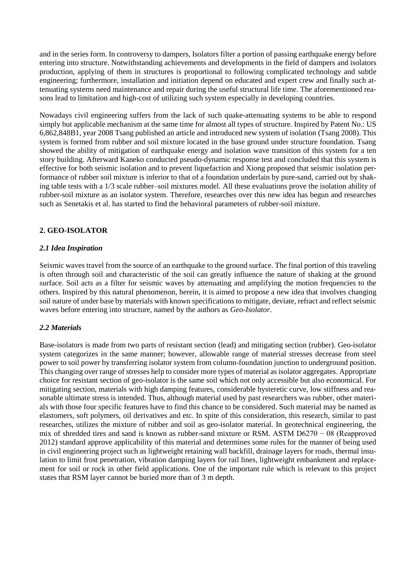and in the series form. In controversy to dampers, Isolators filter a portion of passing earthquake energy before entering into structure. Notwithstanding achievements and developments in the field of dampers and isolators production, applying of them in structures is proportional to following complicated technology and subtle engineering; furthermore, installation and initiation depend on educated and expert crew and finally such attenuating systems need maintenance and repair during the useful structural life time. The aforementioned reasons lead to limitation and high-cost of utilizing such system especially in developing countries.

Nowadays civil engineering suffers from the lack of such quake-attenuating systems to be able to respond simply but applicable mechanism at the same time for almost all types of structure. Inspired by Patent No.: US 6,862,848B1, year 2008 Tsang published an article and introduced new system of isolation (Tsang 2008). This system is formed from rubber and soil mixture located in the base ground under structure foundation. Tsang showed the ability of mitigation of earthquake energy and isolation wave transition of this system for a ten story building. Afterward Kaneko conducted pseudo-dynamic response test and concluded that this system is effective for both seismic isolation and to prevent liquefaction and Xiong proposed that seismic isolation performance of rubber soil mixture is inferior to that of a foundation underlain by pure-sand, carried out by shaking table tests with a 1/3 scale rubber–soil mixtures model. All these evaluations prove the isolation ability of rubber-soil mixture as an isolator system. Therefore, researches over this new idea has begun and researches such as Senetakis et al. has started to find the behavioral parameters of rubber-soil mixture.

# **2. GEO-ISOLATOR**

## *2.1 Idea Inspiration*

Seismic waves travel from the source of an earthquake to the ground surface. The final portion of this traveling is often through soil and characteristic of the soil can greatly influence the nature of shaking at the ground surface. Soil acts as a filter for seismic waves by attenuating and amplifying the motion frequencies to the others. Inspired by this natural phenomenon, herein, it is aimed to propose a new idea that involves changing soil nature of under base by materials with known specifications to mitigate, deviate, refract and reflect seismic waves before entering into structure, named by the authors as *Geo-Isolator*.

## *2.2 Materials*

Base-isolators is made from two parts of resistant section (lead) and mitigating section (rubber). Geo-isolator system categorizes in the same manner; however, allowable range of material stresses decrease from steel power to soil power by transferring isolator system from column-foundation junction to underground position. This changing over range of stresses help to consider more types of material as isolator aggregates. Appropriate choice for resistant section of geo-isolator is the same soil which not only accessible but also economical. For mitigating section, materials with high damping features, considerable hysteretic curve, low stiffness and reasonable ultimate stress is intended. Thus, although material used by past researchers was rubber, other materials with those four specific features have to find this chance to be considered. Such material may be named as elastomers, soft polymers, oil derivatives and etc. In spite of this consideration, this research, similar to past researches, utilizes the mixture of rubber and soil as geo-isolator material. In geotechnical engineering, the mix of shredded tires and sand is known as rubber-sand mixture or RSM. ASTM D6270 − 08 (Reapproved 2012) standard approve applicability of this material and determines some rules for the manner of being used in civil engineering project such as lightweight retaining wall backfill, drainage layers for roads, thermal insulation to limit frost penetration, vibration damping layers for rail lines, lightweight embankment and replacement for soil or rock in other field applications. One of the important rule which is relevant to this project states that RSM layer cannot be buried more than of 3 m depth.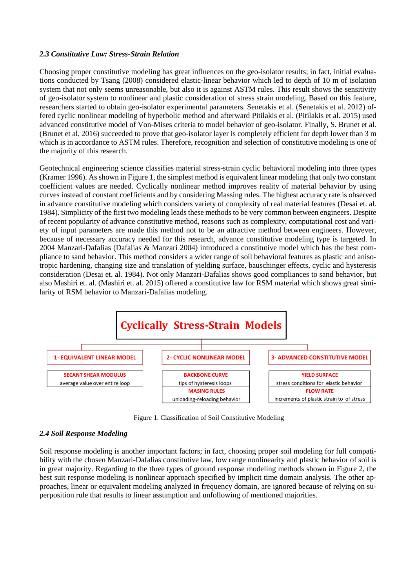## *2.3 Constitutive Law: Stress-Strain Relation*

Choosing proper constitutive modeling has great influences on the geo-isolator results; in fact, initial evaluations conducted by Tsang (2008) considered elastic-linear behavior which led to depth of 10 m of isolation system that not only seems unreasonable, but also it is against ASTM rules. This result shows the sensitivity of geo-isolator system to nonlinear and plastic consideration of stress strain modeling. Based on this feature, researchers started to obtain geo-isolator experimental parameters. Senetakis et al. (Senetakis et al. 2012) offered cyclic nonlinear modeling of hyperbolic method and afterward Pitilakis et al. (Pitilakis et al. 2015) used advanced constitutive model of Von-Mises criteria to model behavior of geo-isolator. Finally, S. Brunet et al. (Brunet et al. 2016) succeeded to prove that geo-isolator layer is completely efficient for depth lower than 3 m which is in accordance to ASTM rules. Therefore, recognition and selection of constitutive modeling is one of the majority of this research.

Geotechnical engineering science classifies material stress-strain cyclic behavioral modeling into three types (Kramer 1996). As shown in [Figure 1,](#page-2-0) the simplest method is equivalent linear modeling that only two constant coefficient values are needed. Cyclically nonlinear method improves reality of material behavior by using curves instead of constant coefficients and by considering Massing rules. The highest accuracy rate is observed in advance constitutive modeling which considers variety of complexity of real material features (Desai et. al. 1984). Simplicity of the first two modeling leads these methods to be very common between engineers. Despite of recent popularity of advance constitutive method, reasons such as complexity, computational cost and variety of input parameters are made this method not to be an attractive method between engineers. However, because of necessary accuracy needed for this research, advance constitutive modeling type is targeted. In 2004 Manzari-Dafalias (Dafalias & Manzari 2004) introduced a constitutive model which has the best compliance to sand behavior. This method considers a wider range of soil behavioral features as plastic and anisotropic hardening, changing size and translation of yielding surface, bauschinger effects, cyclic and hysteresis consideration (Desai et. al. 1984). Not only Manzari-Dafalias shows good compliances to sand behavior, but also Mashiri et. al. (Mashiri et. al. 2015) offered a constitutive law for RSM material which shows great similarity of RSM behavior to Manzari-Dafalias modeling.



Figure 1. Classification of Soil Constitutive Modeling

# <span id="page-2-0"></span>*2.4 Soil Response Modeling*

Soil response modeling is another important factors; in fact, choosing proper soil modeling for full compatibility with the chosen Manzari-Dafalias constitutive law, low range nonlinearity and plastic behavior of soil is in great majority. Regarding to the three types of ground response modeling methods shown in [Figure 2,](#page-3-0) the best suit response modeling is nonlinear approach specified by implicit time domain analysis. The other approaches, linear or equivalent modeling analyzed in frequency domain, are ignored because of relying on superposition rule that results to linear assumption and unfollowing of mentioned majorities.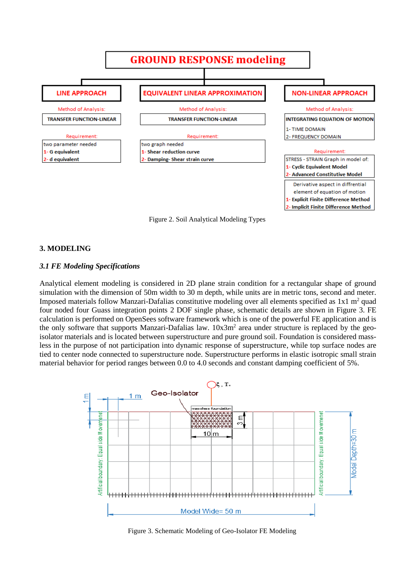

<span id="page-3-0"></span>Figure 2. Soil Analytical Modeling Types

#### **3. MODELING**

#### *3.1 FE Modeling Specifications*

Analytical element modeling is considered in 2D plane strain condition for a rectangular shape of ground simulation with the dimension of 50m width to 30 m depth, while units are in metric tons, second and meter. Imposed materials follow Manzari-Dafalias constitutive modeling over all elements specified as  $1x1 \text{ m}^2$  quad four noded four Guass integration points 2 DOF single phase, schematic details are shown in [Figure 3.](#page-3-1) FE calculation is performed on OpenSees software framework which is one of the powerful FE application and is the only software that supports Manzari-Dafalias law.  $10x3m<sup>2</sup>$  area under structure is replaced by the geoisolator materials and is located between superstructure and pure ground soil. Foundation is considered massless in the purpose of not participation into dynamic response of superstructure, while top surface nodes are tied to center node connected to superstructure node. Superstructure performs in elastic isotropic small strain material behavior for period ranges between 0.0 to 4.0 seconds and constant damping coefficient of 5%.



<span id="page-3-1"></span>Figure 3. Schematic Modeling of Geo-Isolator FE Modeling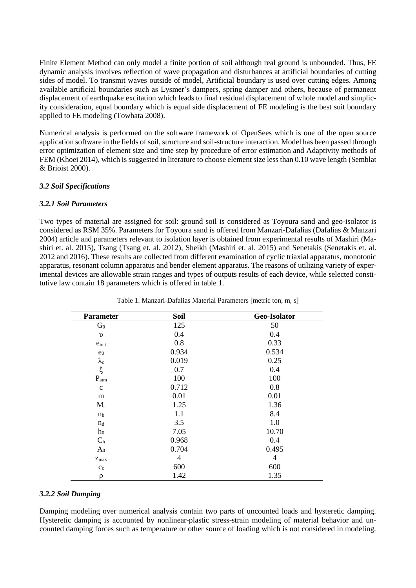Finite Element Method can only model a finite portion of soil although real ground is unbounded. Thus, FE dynamic analysis involves reflection of wave propagation and disturbances at artificial boundaries of cutting sides of model. To transmit waves outside of model, Artificial boundary is used over cutting edges. Among available artificial boundaries such as Lysmer's dampers, spring damper and others, because of permanent displacement of earthquake excitation which leads to final residual displacement of whole model and simplicity consideration, equal boundary which is equal side displacement of FE modeling is the best suit boundary applied to FE modeling (Towhata 2008).

Numerical analysis is performed on the software framework of OpenSees which is one of the open source application software in the fields of soil, structure and soil-structure interaction. Model has been passed through error optimization of element size and time step by procedure of error estimation and Adaptivity methods of FEM (Khoei 2014), which is suggested in literature to choose element size less than 0.10 wave length (Semblat & Brioist 2000).

## *3.2 Soil Specifications*

## *3.2.1 Soil Parameters*

Two types of material are assigned for soil: ground soil is considered as Toyoura sand and geo-isolator is considered as RSM 35%. Parameters for Toyoura sand is offered from Manzari-Dafalias (Dafalias & Manzari 2004) article and parameters relevant to isolation layer is obtained from experimental results of Mashiri (Mashiri et. al. 2015), Tsang (Tsang et. al. 2012), Sheikh (Mashiri et. al. 2015) and Senetakis (Senetakis et. al. 2012 and 2016). These results are collected from different examination of cyclic triaxial apparatus, monotonic apparatus, resonant column apparatus and bender element apparatus. The reasons of utilizing variety of experimental devices are allowable strain ranges and types of outputs results of each device, while selected constitutive law contain 18 parameters which is offered in table 1.

| <b>Parameter</b>  | <b>Soil</b>    | Geo-Isolator   |
|-------------------|----------------|----------------|
| G <sub>0</sub>    | 125            | 50             |
| $\upsilon$        | 0.4            | 0.4            |
| $e_{\text{init}}$ | 0.8            | 0.33           |
| $e_0$             | 0.934          | 0.534          |
| $\lambda_{\rm c}$ | 0.019          | 0.25           |
| $\xi$             | 0.7            | 0.4            |
| $P_{atm}$         | 100            | 100            |
| $\mathbf{C}$      | 0.712          | 0.8            |
| m                 | 0.01           | 0.01           |
| $M_c$             | 1.25           | 1.36           |
| n <sub>b</sub>    | 1.1            | 8.4            |
| $n_d$             | 3.5            | 1.0            |
| h <sub>0</sub>    | 7.05           | 10.70          |
| C <sub>h</sub>    | 0.968          | 0.4            |
| $A_0$             | 0.704          | 0.495          |
| $Z_{max}$         | $\overline{4}$ | $\overline{4}$ |
| $\mathrm{c}_z$    | 600            | 600            |
| $\Omega$          | 1.42           | 1.35           |

Table 1. Manzari-Dafalias Material Parameters [metric ton, m, s]

## *3.2.2 Soil Damping*

Damping modeling over numerical analysis contain two parts of uncounted loads and hysteretic damping. Hysteretic damping is accounted by nonlinear-plastic stress-strain modeling of material behavior and uncounted damping forces such as temperature or other source of loading which is not considered in modeling.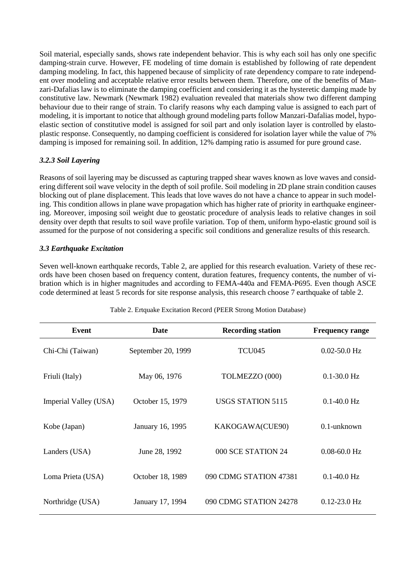Soil material, especially sands, shows rate independent behavior. This is why each soil has only one specific damping-strain curve. However, FE modeling of time domain is established by following of rate dependent damping modeling. In fact, this happened because of simplicity of rate dependency compare to rate independent over modeling and acceptable relative error results between them. Therefore, one of the benefits of Manzari-Dafalias law is to eliminate the damping coefficient and considering it as the hysteretic damping made by constitutive law. Newmark (Newmark 1982) evaluation revealed that materials show two different damping behaviour due to their range of strain. To clarify reasons why each damping value is assigned to each part of modeling, it is important to notice that although ground modeling parts follow Manzari-Dafalias model, hypoelastic section of constitutive model is assigned for soil part and only isolation layer is controlled by elastoplastic response. Consequently, no damping coefficient is considered for isolation layer while the value of 7% damping is imposed for remaining soil. In addition, 12% damping ratio is assumed for pure ground case.

# *3.2.3 Soil Layering*

Reasons of soil layering may be discussed as capturing trapped shear waves known as love waves and considering different soil wave velocity in the depth of soil profile. Soil modeling in 2D plane strain condition causes blocking out of plane displacement. This leads that love waves do not have a chance to appear in such modeling. This condition allows in plane wave propagation which has higher rate of priority in earthquake engineering. Moreover, imposing soil weight due to geostatic procedure of analysis leads to relative changes in soil density over depth that results to soil wave profile variation. Top of them, uniform hypo-elastic ground soil is assumed for the purpose of not considering a specific soil conditions and generalize results of this research.

## *3.3 Earthquake Excitation*

Seven well-known earthquake records, Table 2, are applied for this research evaluation. Variety of these records have been chosen based on frequency content, duration features, frequency contents, the number of vibration which is in higher magnitudes and according to FEMA-440a and FEMA-P695. Even though ASCE code determined at least 5 records for site response analysis, this research choose 7 earthquake of table 2.

| Event                 | Date               | <b>Recording station</b> | <b>Frequency range</b> |
|-----------------------|--------------------|--------------------------|------------------------|
| Chi-Chi (Taiwan)      | September 20, 1999 | <b>TCU045</b>            | $0.02 - 50.0$ Hz       |
| Friuli (Italy)        | May 06, 1976       | TOLMEZZO (000)           | $0.1 - 30.0$ Hz        |
| Imperial Valley (USA) | October 15, 1979   | <b>USGS STATION 5115</b> | $0.1 - 40.0$ Hz        |
| Kobe (Japan)          | January 16, 1995   | KAKOGAWA(CUE90)          | $0.1$ -unknown         |
| Landers (USA)         | June 28, 1992      | 000 SCE STATION 24       | $0.08 - 60.0$ Hz       |
| Loma Prieta (USA)     | October 18, 1989   | 090 CDMG STATION 47381   | $0.1 - 40.0$ Hz        |
| Northridge (USA)      | January 17, 1994   | 090 CDMG STATION 24278   | $0.12 - 23.0$ Hz       |

Table 2. Ertquake Excitation Record (PEER Strong Motion Database)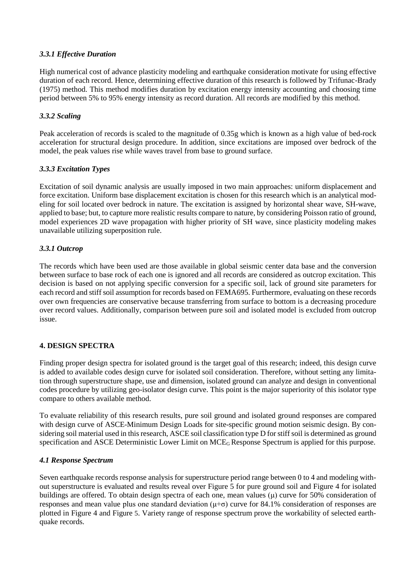## *3.3.1 Effective Duration*

High numerical cost of advance plasticity modeling and earthquake consideration motivate for using effective duration of each record. Hence, determining effective duration of this research is followed by Trifunac-Brady (1975) method. This method modifies duration by excitation energy intensity accounting and choosing time period between 5% to 95% energy intensity as record duration. All records are modified by this method.

## *3.3.2 Scaling*

Peak acceleration of records is scaled to the magnitude of 0.35g which is known as a high value of bed-rock acceleration for structural design procedure. In addition, since excitations are imposed over bedrock of the model, the peak values rise while waves travel from base to ground surface.

## *3.3.3 Excitation Types*

Excitation of soil dynamic analysis are usually imposed in two main approaches: uniform displacement and force excitation. Uniform base displacement excitation is chosen for this research which is an analytical modeling for soil located over bedrock in nature. The excitation is assigned by horizontal shear wave, SH-wave, applied to base; but, to capture more realistic results compare to nature, by considering Poisson ratio of ground, model experiences 2D wave propagation with higher priority of SH wave, since plasticity modeling makes unavailable utilizing superposition rule.

## *3.3.1 Outcrop*

The records which have been used are those available in global seismic center data base and the conversion between surface to base rock of each one is ignored and all records are considered as outcrop excitation. This decision is based on not applying specific conversion for a specific soil, lack of ground site parameters for each record and stiff soil assumption for records based on FEMA695. Furthermore, evaluating on these records over own frequencies are conservative because transferring from surface to bottom is a decreasing procedure over record values. Additionally, comparison between pure soil and isolated model is excluded from outcrop issue.

# **4. DESIGN SPECTRA**

Finding proper design spectra for isolated ground is the target goal of this research; indeed, this design curve is added to available codes design curve for isolated soil consideration. Therefore, without setting any limitation through superstructure shape, use and dimension, isolated ground can analyze and design in conventional codes procedure by utilizing geo-isolator design curve. This point is the major superiority of this isolator type compare to others available method.

To evaluate reliability of this research results, pure soil ground and isolated ground responses are compared with design curve of ASCE-Minimum Design Loads for site-specific ground motion seismic design. By considering soil material used in this research, ASCE soil classification type D for stiff soil is determined as ground specification and ASCE Deterministic Lower Limit on MCE<sub>G</sub> Response Spectrum is applied for this purpose.

## *4.1 Response Spectrum*

Seven earthquake records response analysis for superstructure period range between 0 to 4 and modeling without superstructure is evaluated and results reveal over [Figure 5](#page-7-0) for pure ground soil and [Figure 4](#page-7-1) for isolated buildings are offered. To obtain design spectra of each one, mean values  $(\mu)$  curve for 50% consideration of responses and mean value plus one standard deviation ( $\mu$ + $\sigma$ ) curve for 84.1% consideration of responses are plotted in [Figure 4](#page-7-1) and [Figure](#page-7-0) 5. Variety range of response spectrum prove the workability of selected earthquake records.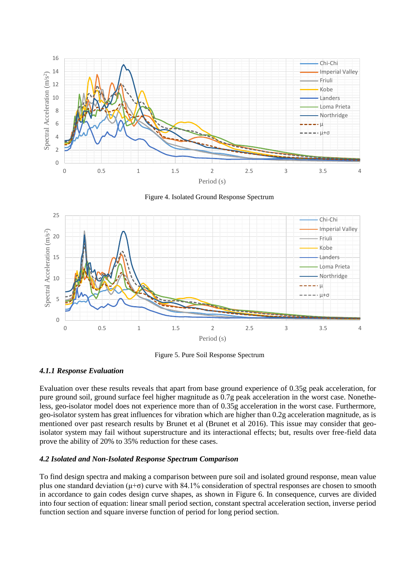

Figure 4. Isolated Ground Response Spectrum

<span id="page-7-1"></span>

Figure 5. Pure Soil Response Spectrum

## <span id="page-7-0"></span>*4.1.1 Response Evaluation*

Evaluation over these results reveals that apart from base ground experience of 0.35g peak acceleration, for pure ground soil, ground surface feel higher magnitude as 0.7g peak acceleration in the worst case. Nonetheless, geo-isolator model does not experience more than of 0.35g acceleration in the worst case. Furthermore, geo-isolator system has great influences for vibration which are higher than 0.2g acceleration magnitude, as is mentioned over past research results by Brunet et al (Brunet et al 2016). This issue may consider that geoisolator system may fail without superstructure and its interactional effects; but, results over free-field data prove the ability of 20% to 35% reduction for these cases.

## *4.2 Isolated and Non-Isolated Response Spectrum Comparison*

To find design spectra and making a comparison between pure soil and isolated ground response, mean value plus one standard deviation  $(\mu + \sigma)$  curve with 84.1% consideration of spectral responses are chosen to smooth in accordance to gain codes design curve shapes, as shown in [Figure 6.](#page-8-0) In consequence, curves are divided into four section of equation: linear small period section, constant spectral acceleration section, inverse period function section and square inverse function of period for long period section.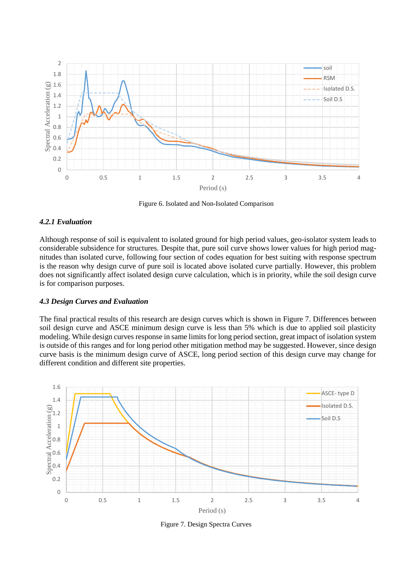

Figure 6. Isolated and Non-Isolated Comparison

## <span id="page-8-0"></span>*4.2.1 Evaluation*

Although response of soil is equivalent to isolated ground for high period values, geo-isolator system leads to considerable subsidence for structures. Despite that, pure soil curve shows lower values for high period magnitudes than isolated curve, following four section of codes equation for best suiting with response spectrum is the reason why design curve of pure soil is located above isolated curve partially. However, this problem does not significantly affect isolated design curve calculation, which is in priority, while the soil design curve is for comparison purposes.

## *4.3 Design Curves and Evaluation*

The final practical results of this research are design curves which is shown in [Figure 7.](#page-8-1) Differences between soil design curve and ASCE minimum design curve is less than 5% which is due to applied soil plasticity modeling. While design curves response in same limits for long period section, great impact of isolation system is outside of this ranges and for long period other mitigation method may be suggested. However, since design curve basis is the minimum design curve of ASCE, long period section of this design curve may change for different condition and different site properties.



<span id="page-8-1"></span>Figure 7. Design Spectra Curves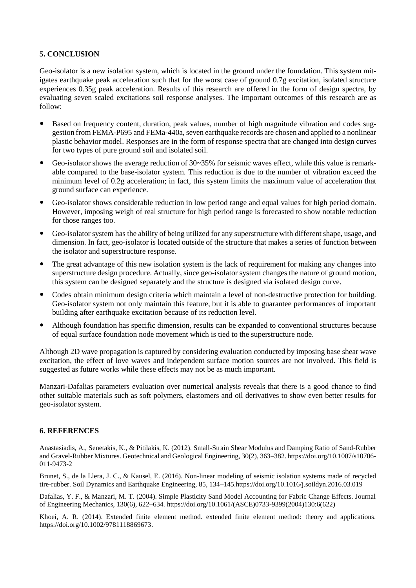## **5. CONCLUSION**

Geo-isolator is a new isolation system, which is located in the ground under the foundation. This system mitigates earthquake peak acceleration such that for the worst case of ground 0.7g excitation, isolated structure experiences 0.35g peak acceleration. Results of this research are offered in the form of design spectra, by evaluating seven scaled excitations soil response analyses. The important outcomes of this research are as follow:

- Based on frequency content, duration, peak values, number of high magnitude vibration and codes suggestion from FEMA-P695 and FEMa-440a, seven earthquake records are chosen and applied to a nonlinear plastic behavior model. Responses are in the form of response spectra that are changed into design curves for two types of pure ground soil and isolated soil.
- Geo-isolator shows the average reduction of 30~35% for seismic waves effect, while this value is remarkable compared to the base-isolator system. This reduction is due to the number of vibration exceed the minimum level of 0.2g acceleration; in fact, this system limits the maximum value of acceleration that ground surface can experience.
- Geo-isolator shows considerable reduction in low period range and equal values for high period domain. However, imposing weigh of real structure for high period range is forecasted to show notable reduction for those ranges too.
- Geo-isolator system has the ability of being utilized for any superstructure with different shape, usage, and dimension. In fact, geo-isolator is located outside of the structure that makes a series of function between the isolator and superstructure response.
- The great advantage of this new isolation system is the lack of requirement for making any changes into superstructure design procedure. Actually, since geo-isolator system changes the nature of ground motion, this system can be designed separately and the structure is designed via isolated design curve.
- Codes obtain minimum design criteria which maintain a level of non-destructive protection for building. Geo-isolator system not only maintain this feature, but it is able to guarantee performances of important building after earthquake excitation because of its reduction level.
- Although foundation has specific dimension, results can be expanded to conventional structures because of equal surface foundation node movement which is tied to the superstructure node.

Although 2D wave propagation is captured by considering evaluation conducted by imposing base shear wave excitation, the effect of love waves and independent surface motion sources are not involved. This field is suggested as future works while these effects may not be as much important.

Manzari-Dafalias parameters evaluation over numerical analysis reveals that there is a good chance to find other suitable materials such as soft polymers, elastomers and oil derivatives to show even better results for geo-isolator system.

## **6. REFERENCES**

Anastasiadis, A., Senetakis, K., & Pitilakis, K. (2012). Small-Strain Shear Modulus and Damping Ratio of Sand-Rubber and Gravel-Rubber Mixtures. Geotechnical and Geological Engineering, 30(2), 363–382[. https://doi.org/10.1007/s10706-](https://doi.org/10.1007/s10706-011-9473-2) [011-9473-2](https://doi.org/10.1007/s10706-011-9473-2)

Brunet, S., de la Llera, J. C., & Kausel, E. (2016). Non-linear modeling of seismic isolation systems made of recycled tire-rubber. Soil Dynamics and Earthquake Engineering, 85, 134–14[5.https://doi.org/10.1016/j.soildyn.2016.03.019](https://doi.org/10.1016/j.soildyn.2016.03.019)

Dafalias, Y. F., & Manzari, M. T. (2004). Simple Plasticity Sand Model Accounting for Fabric Change Effects. Journal of Engineering Mechanics, 130(6), 622–634. [https://doi.org/10.1061/\(ASCE\)0733-9399\(2004\)130:6\(622\)](https://doi.org/10.1061/(ASCE)0733-9399(2004)130:6(622))

Khoei, A. R. (2014). Extended finite element method. extended finite element method: theory and applications. [https://doi.org/10.1002/9781118869673.](https://doi.org/10.1002/9781118869673)